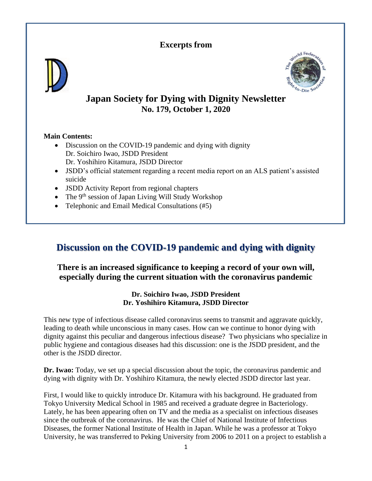## **Excerpts from**





## **Japan Society for Dying with Dignity Newsletter No. 179, October 1, 2020**

### **Main Contents:**

- Discussion on the COVID-19 pandemic and dying with dignity Dr. Soichiro Iwao, JSDD President Dr. Yoshihiro Kitamura, JSDD Director
- JSDD's official statement regarding a recent media report on an ALS patient's assisted suicide
- **JSDD** Activity Report from regional chapters
- The  $9<sup>th</sup>$  session of Japan Living Will Study Workshop
- Telephonic and Email Medical Consultations (#5)

# **Discussion on the COVID-19 pandemic and dying with dignity**

## **There is an increased significance to keeping a record of your own will, especially during the current situation with the coronavirus pandemic**

### **Dr. Soichiro Iwao, JSDD President Dr. Yoshihiro Kitamura, JSDD Director**

This new type of infectious disease called coronavirus seems to transmit and aggravate quickly, leading to death while unconscious in many cases. How can we continue to honor dying with dignity against this peculiar and dangerous infectious disease? Two physicians who specialize in public hygiene and contagious diseases had this discussion: one is the JSDD president, and the other is the JSDD director.

**Dr. Iwao:** Today, we set up a special discussion about the topic, the coronavirus pandemic and dying with dignity with Dr. Yoshihiro Kitamura, the newly elected JSDD director last year.

First, I would like to quickly introduce Dr. Kitamura with his background. He graduated from Tokyo University Medical School in 1985 and received a graduate degree in Bacteriology. Lately, he has been appearing often on TV and the media as a specialist on infectious diseases since the outbreak of the coronavirus. He was the Chief of National Institute of Infectious Diseases, the former National Institute of Health in Japan. While he was a professor at Tokyo University, he was transferred to Peking University from 2006 to 2011 on a project to establish a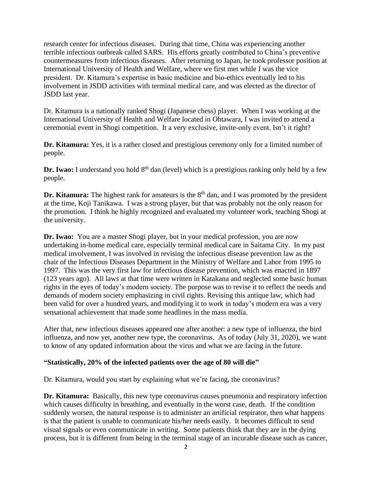research center for infectious diseases. During that time, China was experiencing another terrible infectious outbreak called SARS. His efforts greatly contributed to China's preventive countermeasures from infectious diseases. After returning to Japan, he took professor position at International University of Health and Welfare, where we first met while I was the vice president. Dr. Kitamura's expertise in basic medicine and bio-ethics eventually led to his involvement in JSDD activities with terminal medical care, and was elected as the director of JSDD last year.

Dr. Kitamura is a nationally ranked Shogi (Japanese chess) player. When I was working at the International University of Health and Welfare located in Ohtawara, I was invited to attend a ceremonial event in Shogi competition. It a very exclusive, invite-only event. Isn't it right?

**Dr. Kitamura:** Yes, it is a rather closed and prestigious ceremony only for a limited number of people.

**Dr. Iwao:** I understand you hold 8<sup>th</sup> dan (level) which is a prestigious ranking only held by a few people.

**Dr. Kitamura:** The highest rank for amateurs is the 8<sup>th</sup> dan, and I was promoted by the president at the time, Koji Tanikawa. I was a strong player, but that was probably not the only reason for the promotion. I think he highly recognized and evaluated my volunteer work, teaching Shogi at the university.

**Dr. Iwao:** You are a master Shogi player, but in your medical profession, you are now undertaking in-home medical care, especially terminal medical care in Saitama City.In my past medical involvement, I was involved in revising the infectious disease prevention law as the chair of the Infectious Diseases Department in the Ministry of Welfare and Labor from 1995 to 1997. This was the very first law for infectious disease prevention, which was enacted in 1897 (123 years ago). All laws at that time were written in Katakana and neglected some basic human rights in the eyes of today's modern society. The purpose was to revise it to reflect the needs and demands of modern society emphasizing in civil rights. Revising this antique law, which had been valid for over a hundred years, and modifying it to work in today's modern era was a very sensational achievement that made some headlines in the mass media.

After that, new infectious diseases appeared one after another: a new type of influenza, the bird influenza, and now yet, another new type, the coronavirus. As of today (July 31, 2020), we want to know of any updated information about the virus and what we are facing in the future.

#### **"Statistically, 20% of the infected patients over the age of 80 will die"**

Dr. Kitamura, would you start by explaining what we're facing, the coronavirus?

**Dr. Kitamura:** Basically, this new type coronavirus causes pneumonia and respiratory infection which causes difficulty in breathing, and eventually in the worst case, death. If the condition suddenly worsen, the natural response is to administer an artificial respirator, then what happens is that the patient is unable to communicate his/her needs easily. It becomes difficult to send visual signals or even communicate in writing. Some patients think that they are in the dying process, but it is different from being in the terminal stage of an incurable disease such as cancer,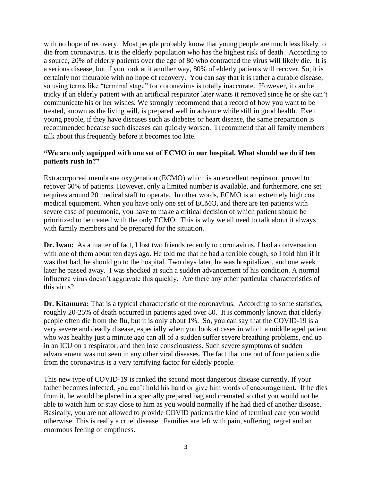with no hope of recovery. Most people probably know that young people are much less likely to die from coronavirus. It is the elderly population who has the highest risk of death. According to a source, 20% of elderly patients over the age of 80 who contracted the virus will likely die. It is a serious disease, but if you look at it another way, 80% of elderly patients will recover. So, it is certainly not incurable with no hope of recovery. You can say that it is rather a curable disease, so using terms like "terminal stage" for coronavirus is totally inaccurate. However, it can be tricky if an elderly patient with an artificial respirator later wants it removed since he or she can't communicate his or her wishes. We strongly recommend that a record of how you want to be treated, known as the living will, is prepared well in advance while still in good health. Even young people, if they have diseases such as diabetes or heart disease, the same preparation is recommended because such diseases can quickly worsen. I recommend that all family members talk about this frequently before it becomes too late.

#### **"We are only equipped with one set of ECMO in our hospital. What should we do if ten patients rush in?"**

Extracorporeal membrane oxygenation (ECMO) which is an excellent respirator, proved to recover 60% of patients. However, only a limited number is available, and furthermore, one set requires around 20 medical staff to operate. In other words, ECMO is an extremely high cost medical equipment. When you have only one set of ECMO, and there are ten patients with severe case of pneumonia, you have to make a critical decision of which patient should be prioritized to be treated with the only ECMO. This is why we all need to talk about it always with family members and be prepared for the situation.

**Dr. Iwao:** As a matter of fact, I lost two friends recently to coronavirus. I had a conversation with one of them about ten days ago. He told me that he had a terrible cough, so I told him if it was that bad, he should go to the hospital. Two days later, he was hospitalized, and one week later he passed away. I was shocked at such a sudden advancement of his condition. A normal influenza virus doesn't aggravate this quickly. Are there any other particular characteristics of this virus?

**Dr. Kitamura:** That is a typical characteristic of the coronavirus.According to some statistics, roughly 20-25% of death occurred in patients aged over 80. It is commonly known that elderly people often die from the flu, but it is only about 1%. So, you can say that the COVID-19 is a very severe and deadly disease, especially when you look at cases in which a middle aged patient who was healthy just a minute ago can all of a sudden suffer severe breathing problems, end up in an ICU on a respirator, and then lose consciousness. Such severe symptoms of sudden advancement was not seen in any other viral diseases. The fact that one out of four patients die from the coronavirus is a very terrifying factor for elderly people.

This new type of COVID-19 is ranked the second most dangerous disease currently. If your father becomes infected, you can't hold his hand or give him words of encouragement. If he dies from it, he would be placed in a specially prepared bag and cremated so that you would not be able to watch him or stay close to him as you would normally if he had died of another disease. Basically, you are not allowed to provide COVID patients the kind of terminal care you would otherwise. This is really a cruel disease. Families are left with pain, suffering, regret and an enormous feeling of emptiness.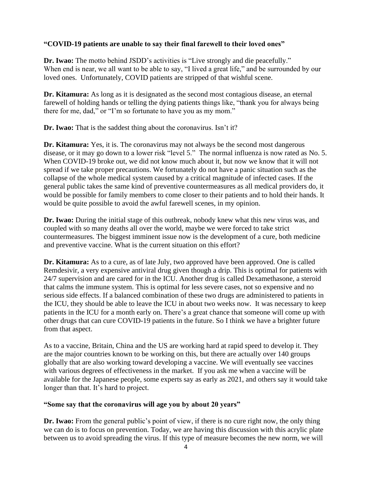### **"COVID-19 patients are unable to say their final farewell to their loved ones"**

**Dr. Iwao:** The motto behind JSDD's activities is "Live strongly and die peacefully." When end is near, we all want to be able to say, "I lived a great life," and be surrounded by our loved ones. Unfortunately, COVID patients are stripped of that wishful scene.

**Dr. Kitamura:** As long as it is designated as the second most contagious disease, an eternal farewell of holding hands or telling the dying patients things like, "thank you for always being there for me, dad," or "I'm so fortunate to have you as my mom."

**Dr. Iwao:** That is the saddest thing about the coronavirus. Isn't it?

**Dr. Kitamura:** Yes, it is. The coronavirus may not always be the second most dangerous disease, or it may go down to a lower risk "level 5." The normal influenza is now rated as No. 5. When COVID-19 broke out, we did not know much about it, but now we know that it will not spread if we take proper precautions. We fortunately do not have a panic situation such as the collapse of the whole medical system caused by a critical magnitude of infected cases. If the general public takes the same kind of preventive countermeasures as all medical providers do, it would be possible for family members to come closer to their patients and to hold their hands. It would be quite possible to avoid the awful farewell scenes, in my opinion.

Dr. Iwao: During the initial stage of this outbreak, nobody knew what this new virus was, and coupled with so many deaths all over the world, maybe we were forced to take strict countermeasures. The biggest imminent issue now is the development of a cure, both medicine and preventive vaccine. What is the current situation on this effort?

**Dr. Kitamura:** As to a cure, as of late July, two approved have been approved. One is called Remdesivir, a very expensive antiviral drug given though a drip. This is optimal for patients with 24/7 supervision and are cared for in the ICU. Another drug is called Dexamethasone, a steroid that calms the immune system. This is optimal for less severe cases, not so expensive and no serious side effects. If a balanced combination of these two drugs are administered to patients in the ICU, they should be able to leave the ICU in about two weeks now. It was necessary to keep patients in the ICU for a month early on. There's a great chance that someone will come up with other drugs that can cure COVID-19 patients in the future. So I think we have a brighter future from that aspect.

As to a vaccine, Britain, China and the US are working hard at rapid speed to develop it. They are the major countries known to be working on this, but there are actually over 140 groups globally that are also working toward developing a vaccine. We will eventually see vaccines with various degrees of effectiveness in the market. If you ask me when a vaccine will be available for the Japanese people, some experts say as early as 2021, and others say it would take longer than that. It's hard to project.

#### **"Some say that the coronavirus will age you by about 20 years"**

**Dr. Iwao:** From the general public's point of view, if there is no cure right now, the only thing we can do is to focus on prevention. Today, we are having this discussion with this acrylic plate between us to avoid spreading the virus. If this type of measure becomes the new norm, we will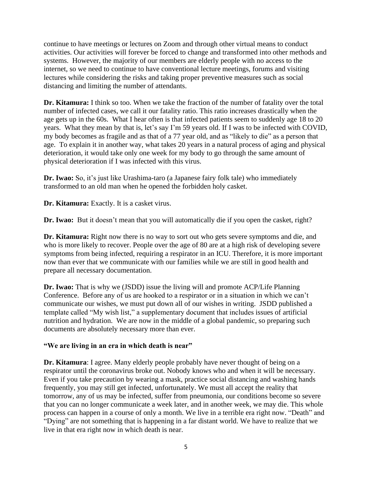continue to have meetings or lectures on Zoom and through other virtual means to conduct activities. Our activities will forever be forced to change and transformed into other methods and systems. However, the majority of our members are elderly people with no access to the internet, so we need to continue to have conventional lecture meetings, forums and visiting lectures while considering the risks and taking proper preventive measures such as social distancing and limiting the number of attendants.

**Dr. Kitamura:** I think so too. When we take the fraction of the number of fatality over the total number of infected cases, we call it our fatality ratio. This ratio increases drastically when the age gets up in the 60s. What I hear often is that infected patients seem to suddenly age 18 to 20 years. What they mean by that is, let's say I'm 59 years old. If I was to be infected with COVID, my body becomes as fragile and as that of a 77 year old, and as "likely to die" as a person that age. To explain it in another way, what takes 20 years in a natural process of aging and physical deterioration, it would take only one week for my body to go through the same amount of physical deterioration if I was infected with this virus.

**Dr. Iwao:** So, it's just like Urashima-taro (a Japanese fairy folk tale) who immediately transformed to an old man when he opened the forbidden holy casket.

**Dr. Kitamura:** Exactly. It is a casket virus.

**Dr. Iwao:** But it doesn't mean that you will automatically die if you open the casket, right?

**Dr. Kitamura:** Right now there is no way to sort out who gets severe symptoms and die, and who is more likely to recover. People over the age of 80 are at a high risk of developing severe symptoms from being infected, requiring a respirator in an ICU. Therefore, it is more important now than ever that we communicate with our families while we are still in good health and prepare all necessary documentation.

**Dr. Iwao:** That is why we (JSDD) issue the living will and promote ACP/Life Planning Conference. Before any of us are hooked to a respirator or in a situation in which we can't communicate our wishes, we must put down all of our wishes in writing. JSDD published a template called "My wish list," a supplementary document that includes issues of artificial nutrition and hydration. We are now in the middle of a global pandemic, so preparing such documents are absolutely necessary more than ever.

#### **"We are living in an era in which death is near"**

**Dr. Kitamura**: I agree. Many elderly people probably have never thought of being on a respirator until the coronavirus broke out. Nobody knows who and when it will be necessary. Even if you take precaution by wearing a mask, practice social distancing and washing hands frequently, you may still get infected, unfortunately. We must all accept the reality that tomorrow, any of us may be infected, suffer from pneumonia, our conditions become so severe that you can no longer communicate a week later, and in another week, we may die. This whole process can happen in a course of only a month. We live in a terrible era right now. "Death" and "Dying" are not something that is happening in a far distant world. We have to realize that we live in that era right now in which death is near.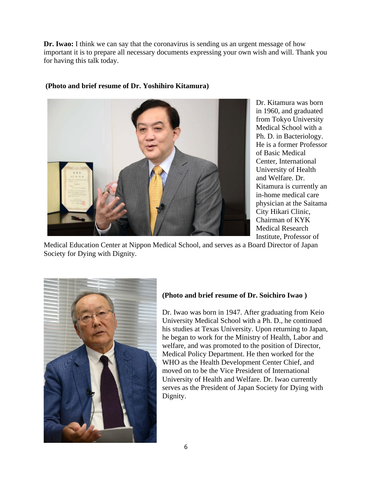**Dr. Iwao:** I think we can say that the coronavirus is sending us an urgent message of how important it is to prepare all necessary documents expressing your own wish and will. Thank you for having this talk today.



**(Photo and brief resume of Dr. Yoshihiro Kitamura)**

Dr. Kitamura was born in 1960, and graduated from Tokyo University Medical School with a Ph. D. in Bacteriology. He is a former Professor of Basic Medical Center, International University of Health and Welfare. Dr. Kitamura is currently an in-home medical care physician at the Saitama City Hikari Clinic, Chairman of KYK Medical Research Institute, Professor of

Medical Education Center at Nippon Medical School, and serves as a Board Director of Japan Society for Dying with Dignity.



### **(Photo and brief resume of Dr. Soichiro Iwao )**

Dr. Iwao was born in 1947. After graduating from Keio University Medical School with a Ph. D., he continued his studies at Texas University. Upon returning to Japan, he began to work for the Ministry of Health, Labor and welfare, and was promoted to the position of Director, Medical Policy Department. He then worked for the WHO as the Health Development Center Chief, and moved on to be the Vice President of International University of Health and Welfare. Dr. Iwao currently serves as the President of Japan Society for Dying with Dignity.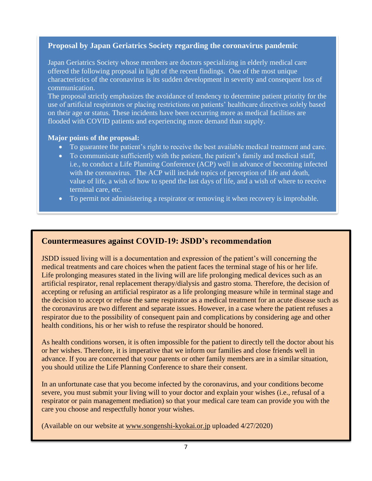## **Proposal by Japan Geriatrics Society regarding the coronavirus pandemic**

Japan Geriatrics Society whose members are doctors specializing in elderly medical care offered the following proposal in light of the recent findings. One of the most unique characteristics of the coronavirus is its sudden development in severity and consequent loss of communication.

The proposal strictly emphasizes the avoidance of tendency to determine patient priority for the use of artificial respirators or placing restrictions on patients' healthcare directives solely based on their age or status. These incidents have been occurring more as medical facilities are flooded with COVID patients and experiencing more demand than supply.

#### **Major points of the proposal:**

- To guarantee the patient's right to receive the best available medical treatment and care.
- To communicate sufficiently with the patient, the patient's family and medical staff, i.e., to conduct a Life Planning Conference (ACP) well in advance of becoming infected with the coronavirus. The ACP will include topics of perception of life and death, value of life, a wish of how to spend the last days of life, and a wish of where to receive terminal care, etc.
- To permit not administering a respirator or removing it when recovery is improbable.

## **Countermeasures against COVID-19: JSDD's recommendation**

JSDD issued living will is a documentation and expression of the patient's will concerning the medical treatments and care choices when the patient faces the terminal stage of his or her life. Life prolonging measures stated in the living will are life prolonging medical devices such as an artificial respirator, renal replacement therapy/dialysis and gastro stoma. Therefore, the decision of accepting or refusing an artificial respirator as a life prolonging measure while in terminal stage and the decision to accept or refuse the same respirator as a medical treatment for an acute disease such as the coronavirus are two different and separate issues. However, in a case where the patient refuses a respirator due to the possibility of consequent pain and complications by considering age and other health conditions, his or her wish to refuse the respirator should be honored.

As health conditions worsen, it is often impossible for the patient to directly tell the doctor about his or her wishes. Therefore, it is imperative that we inform our families and close friends well in advance. If you are concerned that your parents or other family members are in a similar situation, you should utilize the Life Planning Conference to share their consent.

In an unfortunate case that you become infected by the coronavirus, and your conditions become severe, you must submit your living will to your doctor and explain your wishes (i.e., refusal of a respirator or pain management mediation) so that your medical care team can provide you with the care you choose and respectfully honor your wishes.

(Available on our website at [www.songenshi-kyokai.or.jp](http://www.songenshi-kyokai.or.jp/) uploaded 4/27/2020)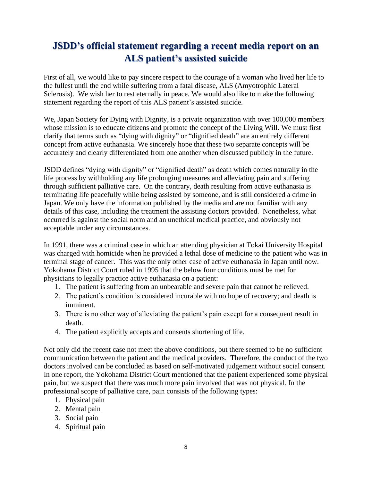# **JSDD's official statement regarding a recent media report on an ALS patient's assisted suicide**

First of all, we would like to pay sincere respect to the courage of a woman who lived her life to the fullest until the end while suffering from a fatal disease, ALS (Amyotrophic Lateral Sclerosis). We wish her to rest eternally in peace. We would also like to make the following statement regarding the report of this ALS patient's assisted suicide.

We, Japan Society for Dying with Dignity, is a private organization with over 100,000 members whose mission is to educate citizens and promote the concept of the Living Will. We must first clarify that terms such as "dying with dignity" or "dignified death" are an entirely different concept from active euthanasia. We sincerely hope that these two separate concepts will be accurately and clearly differentiated from one another when discussed publicly in the future.

JSDD defines "dying with dignity" or "dignified death" as death which comes naturally in the life process by withholding any life prolonging measures and alleviating pain and suffering through sufficient palliative care. On the contrary, death resulting from active euthanasia is terminating life peacefully while being assisted by someone, and is still considered a crime in Japan. We only have the information published by the media and are not familiar with any details of this case, including the treatment the assisting doctors provided. Nonetheless, what occurred is against the social norm and an unethical medical practice, and obviously not acceptable under any circumstances.

In 1991, there was a criminal case in which an attending physician at Tokai University Hospital was charged with homicide when he provided a lethal dose of medicine to the patient who was in terminal stage of cancer. This was the only other case of active euthanasia in Japan until now. Yokohama District Court ruled in 1995 that the below four conditions must be met for physicians to legally practice active euthanasia on a patient:

- 1. The patient is suffering from an unbearable and severe pain that cannot be relieved.
- 2. The patient's condition is considered incurable with no hope of recovery; and death is imminent.
- 3. There is no other way of alleviating the patient's pain except for a consequent result in death.
- 4. The patient explicitly accepts and consents shortening of life.

Not only did the recent case not meet the above conditions, but there seemed to be no sufficient communication between the patient and the medical providers. Therefore, the conduct of the two doctors involved can be concluded as based on self-motivated judgement without social consent. In one report, the Yokohama District Court mentioned that the patient experienced some physical pain, but we suspect that there was much more pain involved that was not physical. In the professional scope of palliative care, pain consists of the following types:

- 1. Physical pain
- 2. Mental pain
- 3. Social pain
- 4. Spiritual pain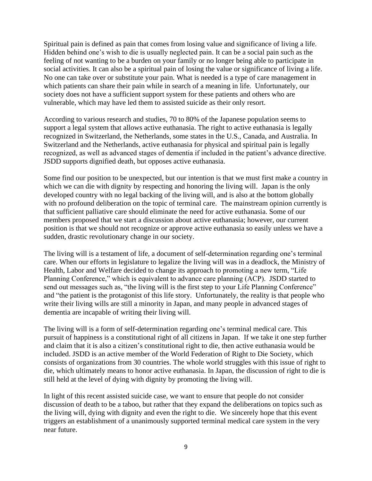Spiritual pain is defined as pain that comes from losing value and significance of living a life. Hidden behind one's wish to die is usually neglected pain. It can be a social pain such as the feeling of not wanting to be a burden on your family or no longer being able to participate in social activities. It can also be a spiritual pain of losing the value or significance of living a life. No one can take over or substitute your pain. What is needed is a type of care management in which patients can share their pain while in search of a meaning in life. Unfortunately, our society does not have a sufficient support system for these patients and others who are vulnerable, which may have led them to assisted suicide as their only resort.

According to various research and studies, 70 to 80% of the Japanese population seems to support a legal system that allows active euthanasia. The right to active euthanasia is legally recognized in Switzerland, the Netherlands, some states in the U.S., Canada, and Australia. In Switzerland and the Netherlands, active euthanasia for physical and spiritual pain is legally recognized, as well as advanced stages of dementia if included in the patient's advance directive. JSDD supports dignified death, but opposes active euthanasia.

Some find our position to be unexpected, but our intention is that we must first make a country in which we can die with dignity by respecting and honoring the living will. Japan is the only developed country with no legal backing of the living will, and is also at the bottom globally with no profound deliberation on the topic of terminal care. The mainstream opinion currently is that sufficient palliative care should eliminate the need for active euthanasia. Some of our members proposed that we start a discussion about active euthanasia; however, our current position is that we should not recognize or approve active euthanasia so easily unless we have a sudden, drastic revolutionary change in our society.

The living will is a testament of life, a document of self-determination regarding one's terminal care. When our efforts in legislature to legalize the living will was in a deadlock, the Ministry of Health, Labor and Welfare decided to change its approach to promoting a new term, "Life Planning Conference," which is equivalent to advance care planning (ACP). JSDD started to send out messages such as, "the living will is the first step to your Life Planning Conference" and "the patient is the protagonist of this life story. Unfortunately, the reality is that people who write their living wills are still a minority in Japan, and many people in advanced stages of dementia are incapable of writing their living will.

The living will is a form of self-determination regarding one's terminal medical care. This pursuit of happiness is a constitutional right of all citizens in Japan. If we take it one step further and claim that it is also a citizen's constitutional right to die, then active euthanasia would be included. JSDD is an active member of the World Federation of Right to Die Society, which consists of organizations from 30 countries. The whole world struggles with this issue of right to die, which ultimately means to honor active euthanasia. In Japan, the discussion of right to die is still held at the level of dying with dignity by promoting the living will.

In light of this recent assisted suicide case, we want to ensure that people do not consider discussion of death to be a taboo, but rather that they expand the deliberations on topics such as the living will, dying with dignity and even the right to die. We sincerely hope that this event triggers an establishment of a unanimously supported terminal medical care system in the very near future.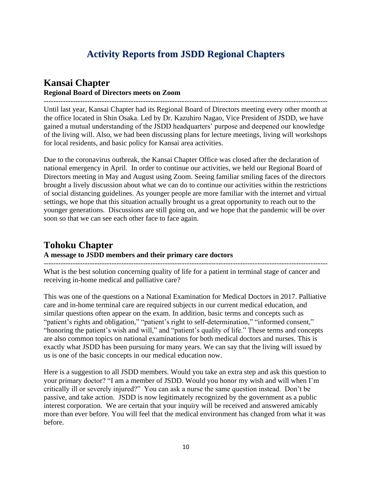# **Activity Reports from JSDD Regional Chapters**

## **Kansai Chapter Regional Board of Directors meets on Zoom**

--------------------------------------------------------------------------------------------------------------------- Until last year, Kansai Chapter had its Regional Board of Directors meeting every other month at the office located in Shin Osaka. Led by Dr. Kazuhiro Nagao, Vice President of JSDD, we have gained a mutual understanding of the JSDD headquarters' purpose and deepened our knowledge of the living will. Also, we had been discussing plans for lecture meetings, living will workshops for local residents, and basic policy for Kansai area activities.

Due to the coronavirus outbreak, the Kansai Chapter Office was closed after the declaration of national emergency in April. In order to continue our activities, we held our Regional Board of Directors meeting in May and August using Zoom. Seeing familiar smiling faces of the directors brought a lively discussion about what we can do to continue our activities within the restrictions of social distancing guidelines. As younger people are more familiar with the internet and virtual settings, we hope that this situation actually brought us a great opportunity to reach out to the younger generations. Discussions are still going on, and we hope that the pandemic will be over soon so that we can see each other face to face again.

# **Tohoku Chapter**

#### **A message to JSDD members and their primary care doctors**

What is the best solution concerning quality of life for a patient in terminal stage of cancer and receiving in-home medical and palliative care?

---------------------------------------------------------------------------------------------------------------------

This was one of the questions on a National Examination for Medical Doctors in 2017. Palliative care and in-home terminal care are required subjects in our current medical education, and similar questions often appear on the exam. In addition, basic terms and concepts such as "patient's rights and obligation," "patient's right to self-determination," "informed consent," "honoring the patient's wish and will," and "patient's quality of life." These terms and concepts are also common topics on national examinations for both medical doctors and nurses. This is exactly what JSDD has been pursuing for many years. We can say that the living will issued by us is one of the basic concepts in our medical education now.

Here is a suggestion to all JSDD members. Would you take an extra step and ask this question to your primary doctor? "I am a member of JSDD. Would you honor my wish and will when I'm critically ill or severely injured?" You can ask a nurse the same question instead. Don't be passive, and take action. JSDD is now legitimately recognized by the government as a public interest corporation. We are certain that your inquiry will be received and answered amicably more than ever before. You will feel that the medical environment has changed from what it was before.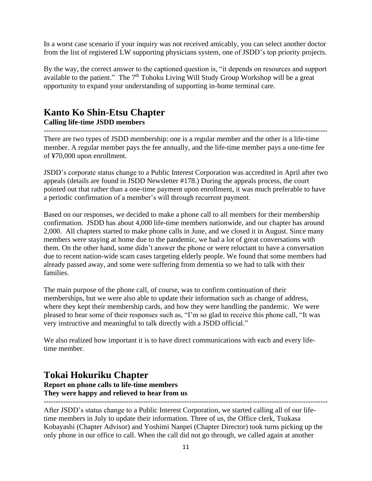In a worst case scenario if your inquiry was not received amicably, you can select another doctor from the list of registered LW supporting physicians system, one of JSDD's top priority projects.

By the way, the correct answer to the captioned question is, "it depends on resources and support available to the patient." The 7<sup>th</sup> Tohoku Living Will Study Group Workshop will be a great opportunity to expand your understanding of supporting in-home terminal care.

## **Kanto Ko Shin-Etsu Chapter Calling life-time JSDD members**

--------------------------------------------------------------------------------------------------------------------- There are two types of JSDD membership: one is a regular member and the other is a life-time member. A regular member pays the fee annually, and the life-time member pays a one-time fee of ¥70,000 upon enrollment.

JSDD's corporate status change to a Public Interest Corporation was accredited in April after two appeals (details are found in JSDD Newsletter #178.) During the appeals process, the court pointed out that rather than a one-time payment upon enrollment, it was much preferable to have a periodic confirmation of a member's will through recurrent payment.

Based on our responses, we decided to make a phone call to all members for their membership confirmation. JSDD has about 4,000 life-time members nationwide, and our chapter has around 2,000. All chapters started to make phone calls in June, and we closed it in August. Since many members were staying at home due to the pandemic, we had a lot of great conversations with them. On the other hand, some didn't answer the phone or were reluctant to have a conversation due to recent nation-wide scam cases targeting elderly people. We found that some members had already passed away, and some were suffering from dementia so we had to talk with their families.

The main purpose of the phone call, of course, was to confirm continuation of their memberships, but we were also able to update their information such as change of address, where they kept their membership cards, and how they were handling the pandemic. We were pleased to hear some of their responses such as, "I'm so glad to receive this phone call, "It was very instructive and meaningful to talk directly with a JSDD official."

We also realized how important it is to have direct communications with each and every lifetime member.

## **Tokai Hokuriku Chapter**

**Report on phone calls to life-time members They were happy and relieved to hear from us**

--------------------------------------------------------------------------------------------------------------------- After JSDD's status change to a Public Interest Corporation, we started calling all of our lifetime members in July to update their information. Three of us, the Office clerk, Tsukasa Kobayashi (Chapter Advisor) and Yoshimi Nanpei (Chapter Director) took turns picking up the only phone in our office to call. When the call did not go through, we called again at another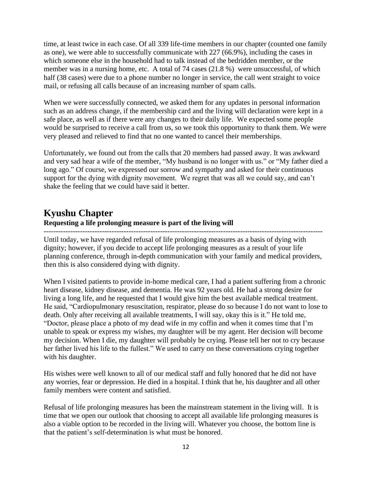time, at least twice in each case. Of all 339 life-time members in our chapter (counted one family as one), we were able to successfully communicate with 227 (66.9%), including the cases in which someone else in the household had to talk instead of the bedridden member, or the member was in a nursing home, etc. A total of 74 cases (21.8 %) were unsuccessful, of which half (38 cases) were due to a phone number no longer in service, the call went straight to voice mail, or refusing all calls because of an increasing number of spam calls.

When we were successfully connected, we asked them for any updates in personal information such as an address change, if the membership card and the living will declaration were kept in a safe place, as well as if there were any changes to their daily life. We expected some people would be surprised to receive a call from us, so we took this opportunity to thank them. We were very pleased and relieved to find that no one wanted to cancel their memberships.

Unfortunately, we found out from the calls that 20 members had passed away. It was awkward and very sad hear a wife of the member, "My husband is no longer with us." or "My father died a long ago." Of course, we expressed our sorrow and sympathy and asked for their continuous support for the dying with dignity movement. We regret that was all we could say, and can't shake the feeling that we could have said it better.

# **Kyushu Chapter**

#### **Requesting a life prolonging measure is part of the living will**

-------------------------------------------------------------------------------------------------------------------

Until today, we have regarded refusal of life prolonging measures as a basis of dying with dignity; however, if you decide to accept life prolonging measures as a result of your life planning conference, through in-depth communication with your family and medical providers, then this is also considered dying with dignity.

When I visited patients to provide in-home medical care, I had a patient suffering from a chronic heart disease, kidney disease, and dementia. He was 92 years old. He had a strong desire for living a long life, and he requested that I would give him the best available medical treatment. He said, "Cardiopulmonary resuscitation, respirator, please do so because I do not want to lose to death. Only after receiving all available treatments, I will say, okay this is it." He told me, "Doctor, please place a photo of my dead wife in my coffin and when it comes time that I'm unable to speak or express my wishes, my daughter will be my agent. Her decision will become my decision. When I die, my daughter will probably be crying. Please tell her not to cry because her father lived his life to the fullest." We used to carry on these conversations crying together with his daughter.

His wishes were well known to all of our medical staff and fully honored that he did not have any worries, fear or depression. He died in a hospital. I think that he, his daughter and all other family members were content and satisfied.

Refusal of life prolonging measures has been the mainstream statement in the living will. It is time that we open our outlook that choosing to accept all available life prolonging measures is also a viable option to be recorded in the living will. Whatever you choose, the bottom line is that the patient's self-determination is what must be honored.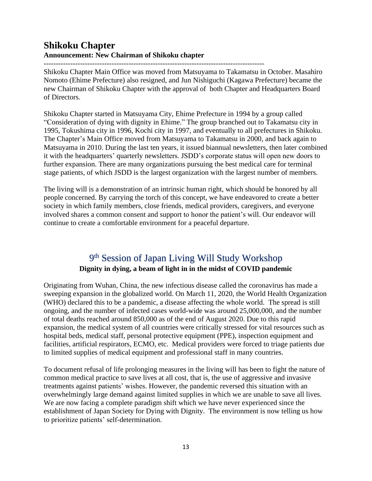## **Shikoku Chapter Announcement: New Chairman of Shikoku chapter**

Shikoku Chapter Main Office was moved from Matsuyama to Takamatsu in October. Masahiro Nomoto (Ehime Prefecture) also resigned, and Jun Nishiguchi (Kagawa Prefecture) became the new Chairman of Shikoku Chapter with the approval of both Chapter and Headquarters Board of Directors.

Shikoku Chapter started in Matsuyama City, Ehime Prefecture in 1994 by a group called "Consideration of dying with dignity in Ehime." The group branched out to Takamatsu city in 1995, Tokushima city in 1996, Kochi city in 1997, and eventually to all prefectures in Shikoku. The Chapter's Main Office moved from Matsuyama to Takamatsu in 2000, and back again to Matsuyama in 2010. During the last ten years, it issued biannual newsletters, then later combined it with the headquarters' quarterly newsletters. JSDD's corporate status will open new doors to further expansion. There are many organizations pursuing the best medical care for terminal stage patients, of which JSDD is the largest organization with the largest number of members.

The living will is a demonstration of an intrinsic human right, which should be honored by all people concerned. By carrying the torch of this concept, we have endeavored to create a better society in which family members, close friends, medical providers, caregivers, and everyone involved shares a common consent and support to honor the patient's will. Our endeavor will continue to create a comfortable environment for a peaceful departure.

## 9<sup>th</sup> Session of Japan Living Will Study Workshop **Dignity in dying, a beam of light in in the midst of COVID pandemic**

Originating from Wuhan, China, the new infectious disease called the coronavirus has made a sweeping expansion in the globalized world. On March 11, 2020, the World Health Organization (WHO) declared this to be a pandemic, a disease affecting the whole world. The spread is still ongoing, and the number of infected cases world-wide was around 25,000,000, and the number of total deaths reached around 850,000 as of the end of August 2020. Due to this rapid expansion, the medical system of all countries were critically stressed for vital resources such as hospital beds, medical staff, personal protective equipment (PPE), inspection equipment and facilities, artificial respirators, ECMO, etc. Medical providers were forced to triage patients due to limited supplies of medical equipment and professional staff in many countries.

To document refusal of life prolonging measures in the living will has been to fight the nature of common medical practice to save lives at all cost, that is, the use of aggressive and invasive treatments against patients' wishes. However, the pandemic reversed this situation with an overwhelmingly large demand against limited supplies in which we are unable to save all lives. We are now facing a complete paradigm shift which we have never experienced since the establishment of Japan Society for Dying with Dignity. The environment is now telling us how to prioritize patients' self-determination.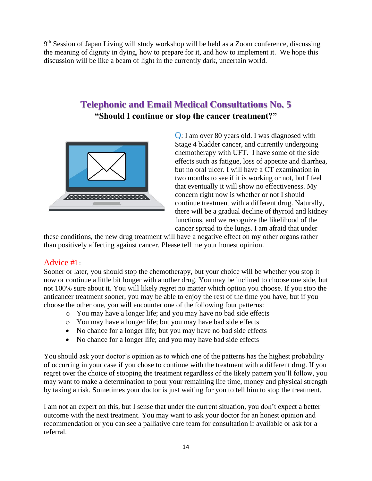9<sup>th</sup> Session of Japan Living will study workshop will be held as a Zoom conference, discussing the meaning of dignity in dying, how to prepare for it, and how to implement it. We hope this discussion will be like a beam of light in the currently dark, uncertain world.

# **Telephonic and Email Medical Consultations No. 5 "Should I continue or stop the cancer treatment?"**



Q: I am over 80 years old. I was diagnosed with Stage 4 bladder cancer, and currently undergoing chemotherapy with UFT. I have some of the side effects such as fatigue, loss of appetite and diarrhea, but no oral ulcer. I will have a CT examination in two months to see if it is working or not, but I feel that eventually it will show no effectiveness. My concern right now is whether or not I should continue treatment with a different drug. Naturally, there will be a gradual decline of thyroid and kidney functions, and we recognize the likelihood of the cancer spread to the lungs. I am afraid that under

these conditions, the new drug treatment will have a negative effect on my other organs rather than positively affecting against cancer. Please tell me your honest opinion.

## Advice #1:

Sooner or later, you should stop the chemotherapy, but your choice will be whether you stop it now or continue a little bit longer with another drug. You may be inclined to choose one side, but not 100% sure about it. You will likely regret no matter which option you choose. If you stop the anticancer treatment sooner, you may be able to enjoy the rest of the time you have, but if you choose the other one, you will encounter one of the following four patterns:

- o You may have a longer life; and you may have no bad side effects
- o You may have a longer life; but you may have bad side effects
- No chance for a longer life; but you may have no bad side effects
- No chance for a longer life; and you may have bad side effects

You should ask your doctor's opinion as to which one of the patterns has the highest probability of occurring in your case if you chose to continue with the treatment with a different drug. If you regret over the choice of stopping the treatment regardless of the likely pattern you'll follow, you may want to make a determination to pour your remaining life time, money and physical strength by taking a risk. Sometimes your doctor is just waiting for you to tell him to stop the treatment.

I am not an expert on this, but I sense that under the current situation, you don't expect a better outcome with the next treatment. You may want to ask your doctor for an honest opinion and recommendation or you can see a palliative care team for consultation if available or ask for a referral.